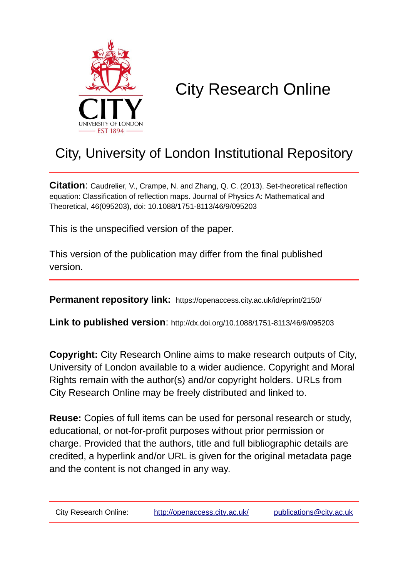

# City Research Online

# City, University of London Institutional Repository

**Citation**: Caudrelier, V., Crampe, N. and Zhang, Q. C. (2013). Set-theoretical reflection equation: Classification of reflection maps. Journal of Physics A: Mathematical and Theoretical, 46(095203), doi: 10.1088/1751-8113/46/9/095203

This is the unspecified version of the paper.

This version of the publication may differ from the final published version.

**Permanent repository link:** https://openaccess.city.ac.uk/id/eprint/2150/

**Link to published version**: http://dx.doi.org/10.1088/1751-8113/46/9/095203

**Copyright:** City Research Online aims to make research outputs of City, University of London available to a wider audience. Copyright and Moral Rights remain with the author(s) and/or copyright holders. URLs from City Research Online may be freely distributed and linked to.

**Reuse:** Copies of full items can be used for personal research or study, educational, or not-for-profit purposes without prior permission or charge. Provided that the authors, title and full bibliographic details are credited, a hyperlink and/or URL is given for the original metadata page and the content is not changed in any way.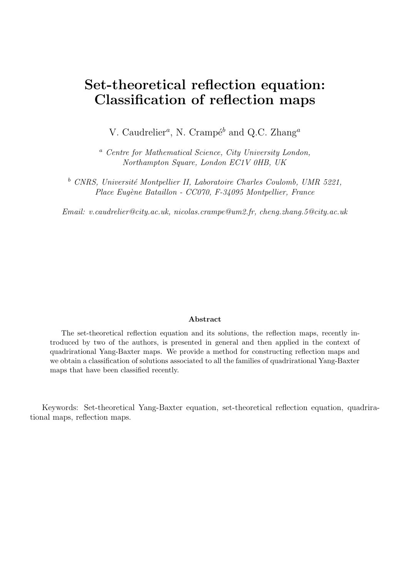# Set-theoretical reflection equation: Classification of reflection maps

V. Caudrelier<sup>*a*</sup>, N. Crampé<sup>b</sup> and Q.C. Zhang<sup>*a*</sup>

<sup>a</sup> Centre for Mathematical Science, City University London, Northampton Square, London EC1V 0HB, UK

 $b$  CNRS, Université Montpellier II, Laboratoire Charles Coulomb, UMR 5221, Place Eugène Bataillon - CC070, F-34095 Montpellier, France

Email: v.caudrelier@city.ac.uk, nicolas.crampe@um2.fr, cheng.zhang.5@city.ac.uk

#### Abstract

The set-theoretical reflection equation and its solutions, the reflection maps, recently introduced by two of the authors, is presented in general and then applied in the context of quadrirational Yang-Baxter maps. We provide a method for constructing reflection maps and we obtain a classification of solutions associated to all the families of quadrirational Yang-Baxter maps that have been classified recently.

Keywords: Set-theoretical Yang-Baxter equation, set-theoretical reflection equation, quadrirational maps, reflection maps.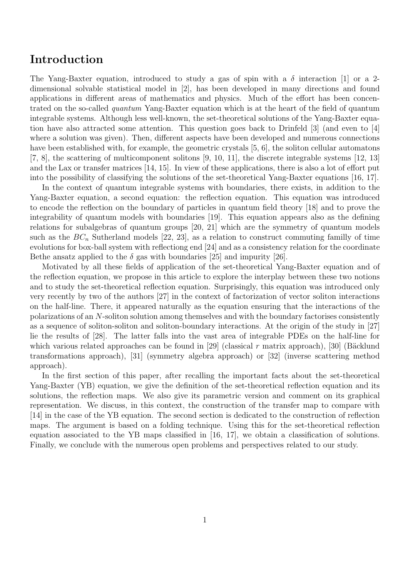## Introduction

The Yang-Baxter equation, introduced to study a gas of spin with a  $\delta$  interaction [1] or a 2dimensional solvable statistical model in [2], has been developed in many directions and found applications in different areas of mathematics and physics. Much of the effort has been concentrated on the so-called quantum Yang-Baxter equation which is at the heart of the field of quantum integrable systems. Although less well-known, the set-theoretical solutions of the Yang-Baxter equation have also attracted some attention. This question goes back to Drinfeld [3] (and even to [4] where a solution was given). Then, different aspects have been developed and numerous connections have been established with, for example, the geometric crystals [5, 6], the soliton cellular automatons [7, 8], the scattering of multicomponent solitons [9, 10, 11], the discrete integrable systems [12, 13] and the Lax or transfer matrices [14, 15]. In view of these applications, there is also a lot of effort put into the possibility of classifying the solutions of the set-theoretical Yang-Baxter equations [16, 17].

In the context of quantum integrable systems with boundaries, there exists, in addition to the Yang-Baxter equation, a second equation: the reflection equation. This equation was introduced to encode the reflection on the boundary of particles in quantum field theory [18] and to prove the integrability of quantum models with boundaries [19]. This equation appears also as the defining relations for subalgebras of quantum groups [20, 21] which are the symmetry of quantum models such as the  $BC_n$  Sutherland models [22, 23], as a relation to construct commuting familly of time evolutions for box-ball system with reflectiong end [24] and as a consistency relation for the coordinate Bethe ansatz applied to the  $\delta$  gas with boundaries [25] and impurity [26].

Motivated by all these fields of application of the set-theoretical Yang-Baxter equation and of the reflection equation, we propose in this article to explore the interplay between these two notions and to study the set-theoretical reflection equation. Surprisingly, this equation was introduced only very recently by two of the authors [27] in the context of factorization of vector soliton interactions on the half-line. There, it appeared naturally as the equation ensuring that the interactions of the polarizations of an N-soliton solution among themselves and with the boundary factorises consistently as a sequence of soliton-soliton and soliton-boundary interactions. At the origin of the study in [27] lie the results of [28]. The latter falls into the vast area of integrable PDEs on the half-line for which various related approaches can be found in [29] (classical r matrix approach), [30] (Bäcklund transformations approach), [31] (symmetry algebra approach) or [32] (inverse scattering method approach).

In the first section of this paper, after recalling the important facts about the set-theoretical Yang-Baxter (YB) equation, we give the definition of the set-theoretical reflection equation and its solutions, the reflection maps. We also give its parametric version and comment on its graphical representation. We discuss, in this context, the construction of the transfer map to compare with [14] in the case of the YB equation. The second section is dedicated to the construction of reflection maps. The argument is based on a folding technique. Using this for the set-theoretical reflection equation associated to the YB maps classified in [16, 17], we obtain a classification of solutions. Finally, we conclude with the numerous open problems and perspectives related to our study.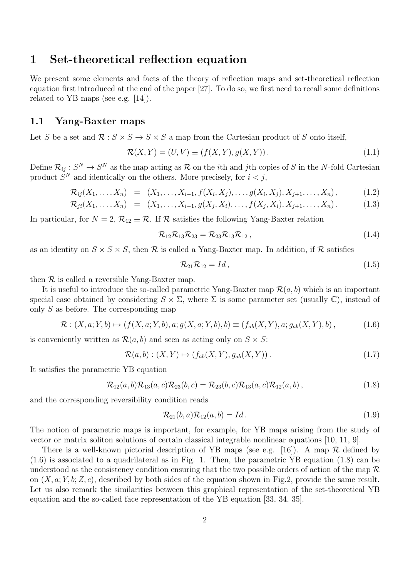## 1 Set-theoretical reflection equation

We present some elements and facts of the theory of reflection maps and set-theoretical reflection equation first introduced at the end of the paper [27]. To do so, we first need to recall some definitions related to YB maps (see e.g. [14]).

### 1.1 Yang-Baxter maps

Let S be a set and  $\mathcal{R}: S \times S \to S \times S$  a map from the Cartesian product of S onto itself,

$$
\mathcal{R}(X,Y) = (U,V) \equiv (f(X,Y),g(X,Y)). \tag{1.1}
$$

Define  $\mathcal{R}_{ij}: S^N \to S^N$  as the map acting as  $\mathcal R$  on the *i*th and *j*th copies of S in the N-fold Cartesian product  $S<sup>N</sup>$  and identically on the others. More precisely, for  $i < j$ ,

$$
\mathcal{R}_{ij}(X_1,\ldots,X_n) = (X_1,\ldots,X_{i-1},f(X_i,X_j),\ldots,g(X_i,X_j),X_{j+1},\ldots,X_n),
$$
\n(1.2)

$$
\mathcal{R}_{ji}(X_1,\ldots,X_n) = (X_1,\ldots,X_{i-1},g(X_j,X_i),\ldots,f(X_j,X_i),X_{j+1},\ldots,X_n). \hspace{1cm} (1.3)
$$

In particular, for  $N = 2$ ,  $\mathcal{R}_{12} \equiv \mathcal{R}$ . If  $\mathcal{R}$  satisfies the following Yang-Baxter relation

$$
\mathcal{R}_{12}\mathcal{R}_{13}\mathcal{R}_{23} = \mathcal{R}_{23}\mathcal{R}_{13}\mathcal{R}_{12} ,\qquad(1.4)
$$

as an identity on  $S \times S \times S$ , then R is called a Yang-Baxter map. In addition, if R satisfies

$$
\mathcal{R}_{21}\mathcal{R}_{12} = Id, \qquad (1.5)
$$

then  $\mathcal R$  is called a reversible Yang-Baxter map.

It is useful to introduce the so-called parametric Yang-Baxter map  $\mathcal{R}(a, b)$  which is an important special case obtained by considering  $S \times \Sigma$ , where  $\Sigma$  is some parameter set (usually  $\mathbb{C}$ ), instead of only S as before. The corresponding map

$$
\mathcal{R}: (X, a; Y, b) \mapsto (f(X, a; Y, b), a; g(X, a; Y, b), b) \equiv (f_{ab}(X, Y), a; g_{ab}(X, Y), b), \tag{1.6}
$$

is conveniently written as  $\mathcal{R}(a, b)$  and seen as acting only on  $S \times S$ :

$$
\mathcal{R}(a,b) : (X,Y) \mapsto (f_{ab}(X,Y), g_{ab}(X,Y)). \tag{1.7}
$$

It satisfies the parametric YB equation

$$
\mathcal{R}_{12}(a,b)\mathcal{R}_{13}(a,c)\mathcal{R}_{23}(b,c) = \mathcal{R}_{23}(b,c)\mathcal{R}_{13}(a,c)\mathcal{R}_{12}(a,b), \qquad (1.8)
$$

and the corresponding reversibility condition reads

$$
\mathcal{R}_{21}(b,a)\mathcal{R}_{12}(a,b) = Id. \qquad (1.9)
$$

The notion of parametric maps is important, for example, for YB maps arising from the study of vector or matrix soliton solutions of certain classical integrable nonlinear equations [10, 11, 9].

There is a well-known pictorial description of YB maps (see e.g. [16]). A map  $\mathcal R$  defined by (1.6) is associated to a quadrilateral as in Fig. 1. Then, the parametric YB equation (1.8) can be understood as the consistency condition ensuring that the two possible orders of action of the map  $\mathcal R$ on  $(X, a; Y, b; Z, c)$ , described by both sides of the equation shown in Fig.2, provide the same result. Let us also remark the similarities between this graphical representation of the set-theoretical YB equation and the so-called face representation of the YB equation [33, 34, 35].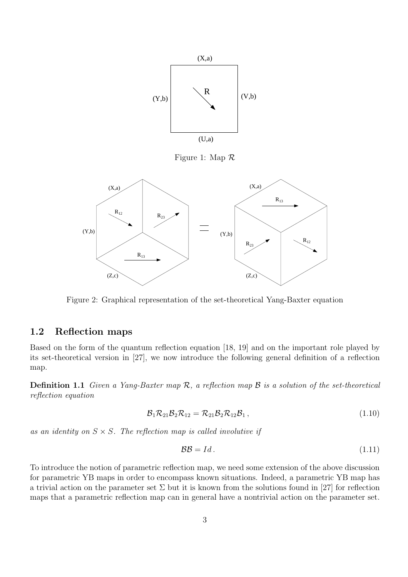

Figure 1: Map R



Figure 2: Graphical representation of the set-theoretical Yang-Baxter equation

## 1.2 Reflection maps

Based on the form of the quantum reflection equation [18, 19] and on the important role played by its set-theoretical version in [27], we now introduce the following general definition of a reflection map.

**Definition 1.1** Given a Yang-Baxter map  $\mathcal{R}$ , a reflection map  $\mathcal{B}$  is a solution of the set-theoretical reflection equation

$$
\mathcal{B}_1 \mathcal{R}_{21} \mathcal{B}_2 \mathcal{R}_{12} = \mathcal{R}_{21} \mathcal{B}_2 \mathcal{R}_{12} \mathcal{B}_1, \qquad (1.10)
$$

as an identity on  $S \times S$ . The reflection map is called involutive if

$$
\mathcal{BB} = Id. \tag{1.11}
$$

To introduce the notion of parametric reflection map, we need some extension of the above discussion for parametric YB maps in order to encompass known situations. Indeed, a parametric YB map has a trivial action on the parameter set  $\Sigma$  but it is known from the solutions found in [27] for reflection maps that a parametric reflection map can in general have a nontrivial action on the parameter set.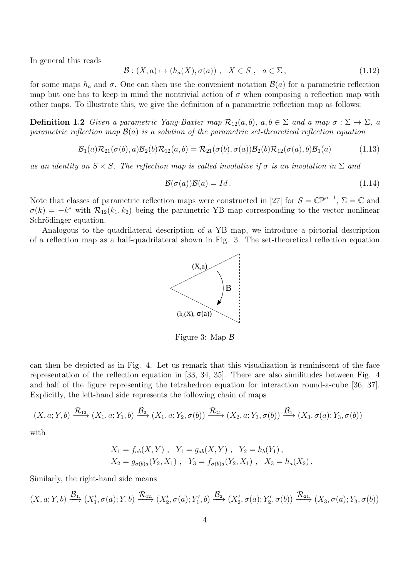In general this reads

$$
\mathcal{B}: (X, a) \mapsto (h_a(X), \sigma(a)), \quad X \in S, \quad a \in \Sigma,
$$
\n
$$
(1.12)
$$

for some maps  $h_a$  and  $\sigma$ . One can then use the convenient notation  $\mathcal{B}(a)$  for a parametric reflection map but one has to keep in mind the nontrivial action of  $\sigma$  when composing a reflection map with other maps. To illustrate this, we give the definition of a parametric reflection map as follows:

**Definition 1.2** Given a parametric Yang-Baxter map  $\mathcal{R}_{12}(a, b)$ ,  $a, b \in \Sigma$  and a map  $\sigma : \Sigma \to \Sigma$ , a parametric reflection map  $\mathcal{B}(a)$  is a solution of the parametric set-theoretical reflection equation

$$
\mathcal{B}_1(a)\mathcal{R}_{21}(\sigma(b),a)\mathcal{B}_2(b)\mathcal{R}_{12}(a,b) = \mathcal{R}_{21}(\sigma(b),\sigma(a))\mathcal{B}_2(b)\mathcal{R}_{12}(\sigma(a),b)\mathcal{B}_1(a) \tag{1.13}
$$

as an identity on  $S \times S$ . The reflection map is called involutive if  $\sigma$  is an involution in  $\Sigma$  and

$$
\mathcal{B}(\sigma(a))\mathcal{B}(a) = Id. \tag{1.14}
$$

Note that classes of parametric reflection maps were constructed in [27] for  $S = \mathbb{CP}^{n-1}$ ,  $\Sigma = \mathbb{C}$  and  $\sigma(k) = -k^*$  with  $\mathcal{R}_{12}(k_1, k_2)$  being the parametric YB map corresponding to the vector nonlinear Schrödinger equation.

Analogous to the quadrilateral description of a YB map, we introduce a pictorial description of a reflection map as a half-quadrilateral shown in Fig. 3. The set-theoretical reflection equation



Figure 3: Map B

can then be depicted as in Fig. 4. Let us remark that this visualization is reminiscent of the face representation of the reflection equation in [33, 34, 35]. There are also similitudes between Fig. 4 and half of the figure representing the tetrahedron equation for interaction round-a-cube [36, 37]. Explicitly, the left-hand side represents the following chain of maps

$$
(X, a; Y, b) \xrightarrow{\mathcal{R}_{12}} (X_1, a; Y_1, b) \xrightarrow{\mathcal{B}_2} (X_1, a; Y_2, \sigma(b)) \xrightarrow{\mathcal{R}_{21}} (X_2, a; Y_3, \sigma(b)) \xrightarrow{\mathcal{B}_1} (X_3, \sigma(a); Y_3, \sigma(b))
$$

with

$$
X_1 = f_{ab}(X, Y) , Y_1 = g_{ab}(X, Y) , Y_2 = h_b(Y_1) ,
$$
  
\n
$$
X_2 = g_{\sigma(b)a}(Y_2, X_1) , Y_3 = f_{\sigma(b)a}(Y_2, X_1) , X_3 = h_a(X_2) .
$$

Similarly, the right-hand side means

$$
(X, a; Y, b) \xrightarrow{\mathcal{B}_1} (X'_1, \sigma(a); Y, b) \xrightarrow{\mathcal{R}_{12}} (X'_2, \sigma(a); Y'_1, b) \xrightarrow{\mathcal{B}_2} (X'_2, \sigma(a); Y'_2, \sigma(b)) \xrightarrow{\mathcal{R}_{21}} (X_3, \sigma(a); Y_3, \sigma(b))
$$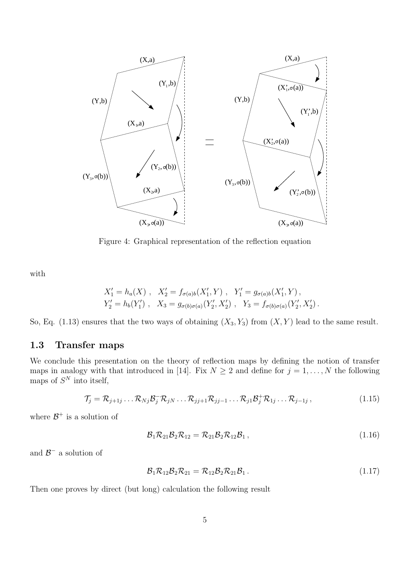

Figure 4: Graphical representation of the reflection equation

with

$$
X'_1 = h_a(X) , X'_2 = f_{\sigma(a)b}(X'_1, Y) , Y'_1 = g_{\sigma(a)b}(X'_1, Y) ,
$$
  
\n
$$
Y'_2 = h_b(Y'_1) , X_3 = g_{\sigma(b)\sigma(a)}(Y'_2, X'_2) , Y_3 = f_{\sigma(b)\sigma(a)}(Y'_2, X'_2) .
$$

So, Eq. (1.13) ensures that the two ways of obtaining  $(X_3, Y_3)$  from  $(X, Y)$  lead to the same result.

## 1.3 Transfer maps

We conclude this presentation on the theory of reflection maps by defining the notion of transfer maps in analogy with that introduced in [14]. Fix  $N \ge 2$  and define for  $j = 1, ..., N$  the following maps of  $S<sup>N</sup>$  into itself,

$$
\mathcal{T}_j = \mathcal{R}_{j+1j} \dots \mathcal{R}_{Nj} \mathcal{B}_j^- \mathcal{R}_{jN} \dots \mathcal{R}_{jj+1} \mathcal{R}_{jj-1} \dots \mathcal{R}_{j1} \mathcal{B}_j^+ \mathcal{R}_{1j} \dots \mathcal{R}_{j-1j} ,
$$
\n(1.15)

where  $\mathcal{B}^+$  is a solution of

$$
\mathcal{B}_1 \mathcal{R}_{21} \mathcal{B}_2 \mathcal{R}_{12} = \mathcal{R}_{21} \mathcal{B}_2 \mathcal{R}_{12} \mathcal{B}_1, \qquad (1.16)
$$

and  $\mathcal{B}^-$  a solution of

$$
\mathcal{B}_1 \mathcal{R}_{12} \mathcal{B}_2 \mathcal{R}_{21} = \mathcal{R}_{12} \mathcal{B}_2 \mathcal{R}_{21} \mathcal{B}_1. \qquad (1.17)
$$

Then one proves by direct (but long) calculation the following result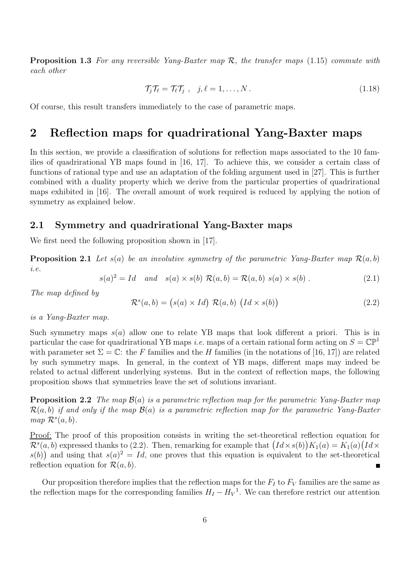**Proposition 1.3** For any reversible Yang-Baxter map  $\mathcal{R}$ , the transfer maps (1.15) commute with each other

$$
\mathcal{T}_j \mathcal{T}_\ell = \mathcal{T}_\ell \mathcal{T}_j \ , \quad j, \ell = 1, \dots, N \ . \tag{1.18}
$$

Of course, this result transfers immediately to the case of parametric maps.

# 2 Reflection maps for quadrirational Yang-Baxter maps

In this section, we provide a classification of solutions for reflection maps associated to the 10 families of quadrirational YB maps found in [16, 17]. To achieve this, we consider a certain class of functions of rational type and use an adaptation of the folding argument used in [27]. This is further combined with a duality property which we derive from the particular properties of quadrirational maps exhibited in [16]. The overall amount of work required is reduced by applying the notion of symmetry as explained below.

### 2.1 Symmetry and quadrirational Yang-Baxter maps

We first need the following proposition shown in [17].

**Proposition 2.1** Let  $s(a)$  be an involutive symmetry of the parametric Yang-Baxter map  $\mathcal{R}(a, b)$ i.e.

$$
s(a)^{2} = Id \quad and \quad s(a) \times s(b) \mathcal{R}(a, b) = \mathcal{R}(a, b) \ s(a) \times s(b) \ . \tag{2.1}
$$

The map defined by

$$
\mathcal{R}^s(a,b) = (s(a) \times Id) \mathcal{R}(a,b) (Id \times s(b))
$$
\n(2.2)

is a Yang-Baxter map.

Such symmetry maps  $s(a)$  allow one to relate YB maps that look different a priori. This is in particular the case for quadrirational YB maps *i.e.* maps of a certain rational form acting on  $S = \mathbb{CP}^1$ with parameter set  $\Sigma = \mathbb{C}$ : the F families and the H families (in the notations of [16, 17]) are related by such symmetry maps. In general, in the context of YB maps, different maps may indeed be related to actual different underlying systems. But in the context of reflection maps, the following proposition shows that symmetries leave the set of solutions invariant.

**Proposition 2.2** The map  $\mathcal{B}(a)$  is a parametric reflection map for the parametric Yang-Baxter map  $\mathcal{R}(a, b)$  if and only if the map  $\mathcal{B}(a)$  is a parametric reflection map for the parametric Yang-Baxter map  $\mathcal{R}^s(a,b)$ .

Proof: The proof of this proposition consists in writing the set-theoretical reflection equation for  $\mathcal{R}^s(a,b)$  expressed thanks to (2.2). Then, remarking for example that  $\big( Id \times s(b) \big) K_1(a) = K_1(a) \big( Id \times s(b) \big)$  $s(b)$  and using that  $s(a)^2 = Id$ , one proves that this equation is equivalent to the set-theoretical reflection equation for  $\mathcal{R}(a, b)$ .

Our proposition therefore implies that the reflection maps for the  $F_I$  to  $F_V$  families are the same as the reflection maps for the corresponding families  $H_I - H_V^1$ . We can therefore restrict our attention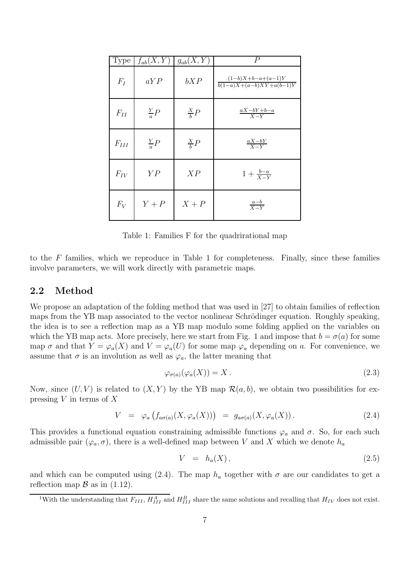| Type      | $f_{ab}(X,Y)$  | $g_{ab}(X,Y)$  | $\overline{P}$                                                                 |
|-----------|----------------|----------------|--------------------------------------------------------------------------------|
| $F_I$     | aYP            | bXP            | $(1-b)X+b-a+(a-1)Y$<br>$\frac{b(1-a)X + (a-b)XY + a(b-1)Y}{b(1-a)Y + a(b-1)Y}$ |
| $F_{II}$  | $\frac{Y}{a}P$ | $\frac{X}{h}P$ | $\frac{aX-bY+b-a}{X-Y}$                                                        |
| $F_{III}$ | $\frac{Y}{a}P$ | $\frac{X}{h}P$ | $\frac{aX-bY}{X-Y}$                                                            |
| $F_{IV}$  | YP             | XP             | $1 + \frac{b-a}{X-Y}$                                                          |
| $F_V$     | $Y+P$          | $X+P$          | $\frac{a-b}{X-Y}$                                                              |

Table 1: Families F for the quadrirational map

to the  $F$  families, which we reproduce in Table 1 for completeness. Finally, since these families involve parameters, we will work directly with parametric maps.

### 2.2 Method

We propose an adaptation of the folding method that was used in [27] to obtain families of reflection maps from the YB map associated to the vector nonlinear Schrödinger equation. Roughly speaking, the idea is to see a reflection map as a YB map modulo some folding applied on the variables on which the YB map acts. More precisely, here we start from Fig. 1 and impose that  $b = \sigma(a)$  for some map  $\sigma$  and that  $Y = \varphi_a(X)$  and  $V = \varphi_a(U)$  for some map  $\varphi_a$  depending on a. For convenience, we assume that  $\sigma$  is an involution as well as  $\varphi_a$ , the latter meaning that

$$
\varphi_{\sigma(a)}(\varphi_a(X)) = X. \tag{2.3}
$$

Now, since  $(U, V)$  is related to  $(X, Y)$  by the YB map  $\mathcal{R}(a, b)$ , we obtain two possibilities for expressing  $V$  in terms of  $X$ 

$$
V = \varphi_a \left( f_{a\sigma(a)}(X, \varphi_a(X)) \right) = g_{a\sigma(a)}(X, \varphi_a(X)) \,. \tag{2.4}
$$

This provides a functional equation constraining admissible functions  $\varphi_a$  and  $\sigma$ . So, for each such admissible pair  $(\varphi_a, \sigma)$ , there is a well-defined map between V and X which we denote  $h_a$ 

$$
V = h_a(X), \tag{2.5}
$$

and which can be computed using (2.4). The map  $h_a$  together with  $\sigma$  are our candidates to get a reflection map  $\beta$  as in (1.12).

<sup>&</sup>lt;sup>1</sup>With the understanding that  $F_{III}$ ,  $H_{III}^A$  and  $H_{III}^B$  share the same solutions and recalling that  $H_{IV}$  does not exist.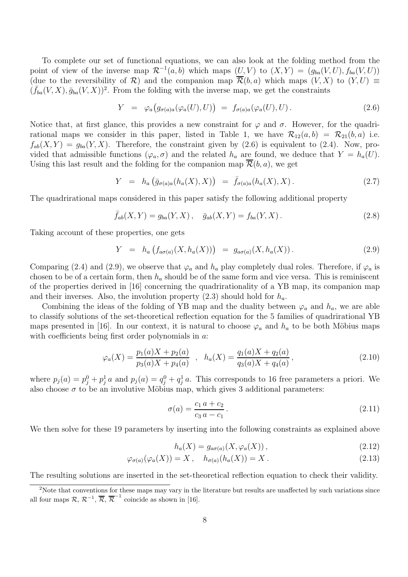To complete our set of functional equations, we can also look at the folding method from the point of view of the inverse map  $\mathcal{R}^{-1}(a, b)$  which maps  $(U, V)$  to  $(X, Y) = (g_{ba}(V, U), f_{ba}(V, U))$ (due to the reversibility of R) and the companion map  $\overline{\mathcal{R}}(b,a)$  which maps  $(V, X)$  to  $(Y, U) \equiv$  $(\bar{f}_{ba}(V, X), \bar{g}_{ba}(V, X))^2$ . From the folding with the inverse map, we get the constraints

$$
Y = \varphi_a(g_{\sigma(a)a}(\varphi_a(U), U)) = f_{\sigma(a)a}(\varphi_a(U), U). \qquad (2.6)
$$

Notice that, at first glance, this provides a new constraint for  $\varphi$  and  $\sigma$ . However, for the quadrirational maps we consider in this paper, listed in Table 1, we have  $\mathcal{R}_{12}(a, b) = \mathcal{R}_{21}(b, a)$  i.e.  $f_{ab}(X,Y) = g_{ba}(Y,X)$ . Therefore, the constraint given by (2.6) is equivalent to (2.4). Now, provided that admissible functions  $(\varphi_a, \sigma)$  and the related  $h_a$  are found, we deduce that  $Y = h_a(U)$ . Using this last result and the folding for the companion map  $\overline{\mathcal{R}}(b, a)$ , we get

$$
Y = h_a\left(\bar{g}_{\sigma(a)a}(h_a(X), X)\right) = \bar{f}_{\sigma(a)a}(h_a(X), X). \qquad (2.7)
$$

The quadrirational maps considered in this paper satisfy the following additional property

$$
\bar{f}_{ab}(X,Y) = g_{ba}(Y,X), \quad \bar{g}_{ab}(X,Y) = f_{ba}(Y,X).
$$
 (2.8)

Taking account of these properties, one gets

$$
Y = h_a(f_{a\sigma(a)}(X, h_a(X))) = g_{a\sigma(a)}(X, h_a(X)). \qquad (2.9)
$$

Comparing (2.4) and (2.9), we observe that  $\varphi_a$  and  $h_a$  play completely dual roles. Therefore, if  $\varphi_a$  is chosen to be of a certain form, then  $h_a$  should be of the same form and vice versa. This is reminiscent of the properties derived in [16] concerning the quadrirationality of a YB map, its companion map and their inverses. Also, the involution property  $(2.3)$  should hold for  $h_a$ .

Combining the ideas of the folding of YB map and the duality between  $\varphi_a$  and  $h_a$ , we are able to classify solutions of the set-theoretical reflection equation for the 5 families of quadrirational YB maps presented in [16]. In our context, it is natural to choose  $\varphi_a$  and  $h_a$  to be both Möbius maps with coefficients being first order polynomials in a:

$$
\varphi_a(X) = \frac{p_1(a)X + p_2(a)}{p_3(a)X + p_4(a)} \quad , \quad h_a(X) = \frac{q_1(a)X + q_2(a)}{q_3(a)X + q_4(a)}, \tag{2.10}
$$

where  $p_j(a) = p_j^0 + p_j^1 a$  and  $p_j(a) = q_j^0 + q_j^1 a$ . This corresponds to 16 free parameters a priori. We also choose  $\sigma$  to be an involutive Möbius map, which gives 3 additional parameters:

$$
\sigma(a) = \frac{c_1 a + c_2}{c_3 a - c_1}.
$$
\n(2.11)

We then solve for these 19 parameters by inserting into the following constraints as explained above

$$
h_a(X) = g_{a\sigma(a)}(X, \varphi_a(X)), \qquad (2.12)
$$

$$
\varphi_{\sigma(a)}(\varphi_a(X)) = X, \quad h_{\sigma(a)}(h_a(X)) = X.
$$
\n(2.13)

The resulting solutions are inserted in the set-theoretical reflection equation to check their validity.

<sup>&</sup>lt;sup>2</sup>Note that conventions for these maps may vary in the literature but results are unaffected by such variations since all four maps  $\mathcal{R}, \mathcal{R}^{-1}, \overline{\mathcal{R}}, \overline{\mathcal{R}}^{-1}$  coincide as shown in [16].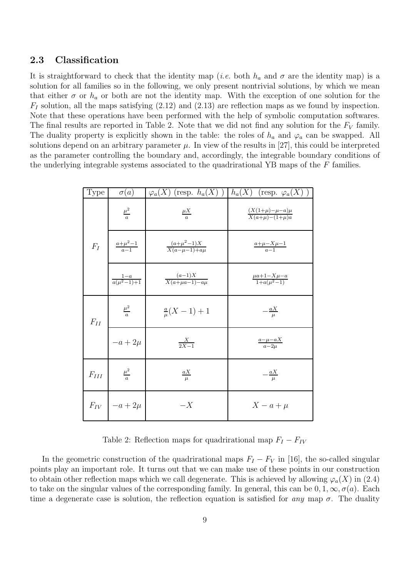#### 2.3 Classification

It is straightforward to check that the identity map (*i.e.* both  $h_a$  and  $\sigma$  are the identity map) is a solution for all families so in the following, we only present nontrivial solutions, by which we mean that either  $\sigma$  or  $h_a$  or both are not the identity map. With the exception of one solution for the  $F_I$  solution, all the maps satisfying  $(2.12)$  and  $(2.13)$  are reflection maps as we found by inspection. Note that these operations have been performed with the help of symbolic computation softwares. The final results are reported in Table 2. Note that we did not find any solution for the  $F_V$  family. The duality property is explicitly shown in the table: the roles of  $h_a$  and  $\varphi_a$  can be swapped. All solutions depend on an arbitrary parameter  $\mu$ . In view of the results in [27], this could be interpreted as the parameter controlling the boundary and, accordingly, the integrable boundary conditions of the underlying integrable systems associated to the quadrirational YB maps of the F families.

| Type                                                   | $\sigma(a)$                | $\varphi_a(X)$ (resp. $h_a(X)$ )       | $h_a(X)$<br>(resp. $\varphi_a(X)$               |
|--------------------------------------------------------|----------------------------|----------------------------------------|-------------------------------------------------|
|                                                        | $\frac{\mu^2}{a}$          | $rac{\mu X}{a}$                        | $\frac{(X(1+\mu)-\mu-a)\mu}{X(a+\mu)-(1+\mu)a}$ |
| $F_I$                                                  | $\frac{a+\mu^2-1}{a-1}$    | $\frac{(a+\mu^2-1)X}{X(a-\mu-1)+a\mu}$ | $\frac{a+\mu-X\mu-1}{a-1}$                      |
|                                                        | $\frac{1-a}{a(\mu^2-1)+1}$ | $\frac{(a-1)X}{X(a+\mu a-1)-a\mu}$     | $\frac{\mu a+1-X\mu-a}{1+a(\mu^2-1)}$           |
| $F_{II}$                                               | $\frac{\mu^2}{a}$          | $\frac{a}{\mu}(X-1)+1$                 | $-\frac{aX}{\mu}$                               |
|                                                        | $-a+2\mu$                  | $\frac{X}{2X-1}$                       | $\frac{a-\mu-aX}{a-2\mu}$                       |
| $F_{\hspace{-0.1em}I\hspace{-0.1em}I\hspace{-0.1em}I}$ | $rac{\mu^2}{a}$            | $\frac{aX}{\mu}$                       | $-\frac{aX}{\mu}$                               |
|                                                        | $F_{IV}$   $-a+2\mu$       | $-X$                                   | $X-a+\mu$                                       |

Table 2: Reflection maps for quadrirational map  $F_I - F_{IV}$ 

In the geometric construction of the quadrirational maps  $F_I - F_V$  in [16], the so-called singular points play an important role. It turns out that we can make use of these points in our construction to obtain other reflection maps which we call degenerate. This is achieved by allowing  $\varphi_a(X)$  in (2.4) to take on the singular values of the corresponding family. In general, this can be  $0, 1, \infty, \sigma(a)$ . Each time a degenerate case is solution, the reflection equation is satisfied for any map  $\sigma$ . The duality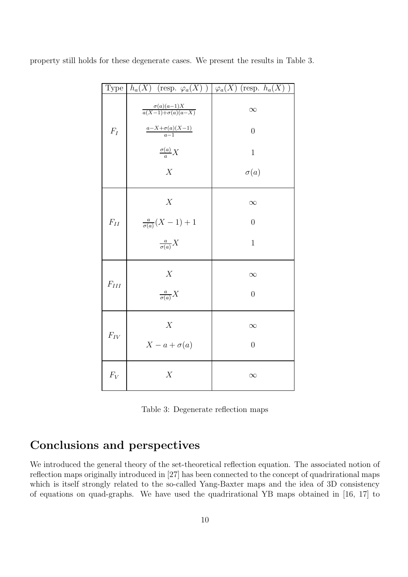| Type            | $h_a(X)$ (resp. $\varphi_a(X)$ ) $\varphi_a(X)$ (resp. $h_a(X)$ ) |                |
|-----------------|-------------------------------------------------------------------|----------------|
|                 | $\frac{\sigma(a)(a-1)X}{a(X-1)+\sigma(a)(a-X)}$                   | $\infty$       |
| $F_I$           | $\frac{a-X+\sigma(a)(X-1)}{a-1}$                                  | $\overline{0}$ |
|                 | $\frac{\sigma(a)}{a}X$                                            | $\mathbf{1}$   |
|                 | $\overline{X}$                                                    | $\sigma(a)$    |
|                 | X                                                                 | $\infty$       |
| ${\cal F}_{II}$ | $\frac{a}{\sigma(a)}(X-1)+1$                                      | $\overline{0}$ |
|                 | $\frac{a}{\sigma(a)}X$                                            | $\mathbf{1}$   |
| $F_{\cal III}$  | X                                                                 | $\infty$       |
|                 | $\frac{a}{\sigma(a)}X$                                            | $\overline{0}$ |
| $F_{IV}$        | X                                                                 | $\infty$       |
|                 | $X-a+\sigma(a)$                                                   | $\overline{0}$ |
| $F_V$           | X                                                                 | $\infty$       |

property still holds for these degenerate cases. We present the results in Table 3.

Table 3: Degenerate reflection maps

# Conclusions and perspectives

We introduced the general theory of the set-theoretical reflection equation. The associated notion of reflection maps originally introduced in [27] has been connected to the concept of quadrirational maps which is itself strongly related to the so-called Yang-Baxter maps and the idea of 3D consistency of equations on quad-graphs. We have used the quadrirational YB maps obtained in [16, 17] to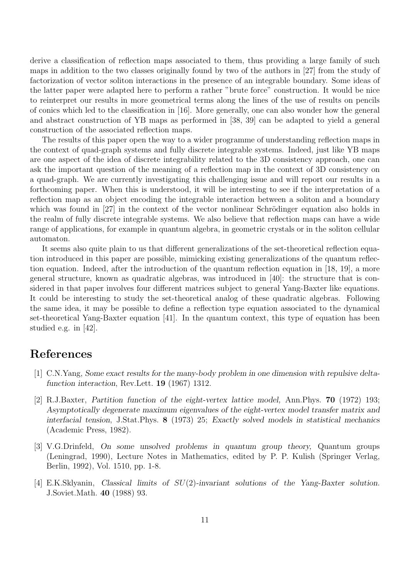derive a classification of reflection maps associated to them, thus providing a large family of such maps in addition to the two classes originally found by two of the authors in [27] from the study of factorization of vector soliton interactions in the presence of an integrable boundary. Some ideas of the latter paper were adapted here to perform a rather "brute force" construction. It would be nice to reinterpret our results in more geometrical terms along the lines of the use of results on pencils of conics which led to the classification in [16]. More generally, one can also wonder how the general and abstract construction of YB maps as performed in [38, 39] can be adapted to yield a general construction of the associated reflection maps.

The results of this paper open the way to a wider programme of understanding reflection maps in the context of quad-graph systems and fully discrete integrable systems. Indeed, just like YB maps are one aspect of the idea of discrete integrability related to the 3D consistency approach, one can ask the important question of the meaning of a reflection map in the context of 3D consistency on a quad-graph. We are currently investigating this challenging issue and will report our results in a forthcoming paper. When this is understood, it will be interesting to see if the interpretation of a reflection map as an object encoding the integrable interaction between a soliton and a boundary which was found in  $[27]$  in the context of the vector nonlinear Schrödinger equation also holds in the realm of fully discrete integrable systems. We also believe that reflection maps can have a wide range of applications, for example in quantum algebra, in geometric crystals or in the soliton cellular automaton.

It seems also quite plain to us that different generalizations of the set-theoretical reflection equation introduced in this paper are possible, mimicking existing generalizations of the quantum reflection equation. Indeed, after the introduction of the quantum reflection equation in [18, 19], a more general structure, known as quadratic algebras, was introduced in [40]: the structure that is considered in that paper involves four different matrices subject to general Yang-Baxter like equations. It could be interesting to study the set-theoretical analog of these quadratic algebras. Following the same idea, it may be possible to define a reflection type equation associated to the dynamical set-theoretical Yang-Baxter equation [41]. In the quantum context, this type of equation has been studied e.g. in [42].

# References

- [1] C.N.Yang, Some exact results for the many-body problem in one dimension with repulsive deltafunction interaction, Rev.Lett. 19 (1967) 1312.
- [2] R.J.Baxter, Partition function of the eight-vertex lattice model, Ann.Phys. 70 (1972) 193; Asymptotically degenerate maximum eigenvalues of the eight-vertex model transfer matrix and interfacial tension, J.Stat.Phys. 8 (1973) 25; Exactly solved models in statistical mechanics (Academic Press, 1982).
- [3] V.G.Drinfeld, On some unsolved problems in quantum group theory, Quantum groups (Leningrad, 1990), Lecture Notes in Mathematics, edited by P. P. Kulish (Springer Verlag, Berlin, 1992), Vol. 1510, pp. 1-8.
- [4] E.K.Sklyanin, Classical limits of SU(2)-invariant solutions of the Yang-Baxter solution. J.Soviet.Math. 40 (1988) 93.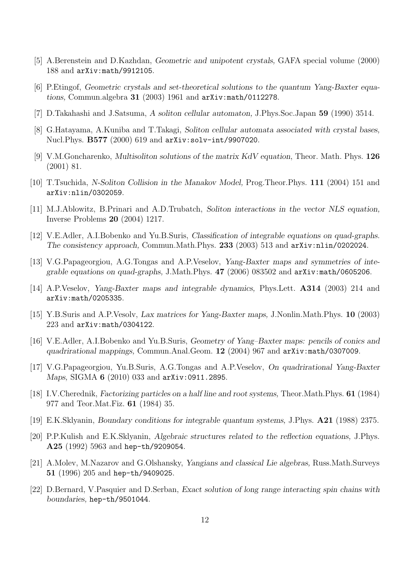- [5] A.Berenstein and D.Kazhdan, Geometric and unipotent crystals, GAFA special volume (2000) 188 and arXiv:math/9912105.
- [6] P.Etingof, Geometric crystals and set-theoretical solutions to the quantum Yang-Baxter equations, Commun.algebra 31 (2003) 1961 and arXiv:math/0112278.
- [7] D.Takahashi and J.Satsuma, A soliton cellular automaton, J.Phys.Soc.Japan 59 (1990) 3514.
- [8] G.Hatayama, A.Kuniba and T.Takagi, Soliton cellular automata associated with crystal bases, Nucl.Phys. B577 (2000) 619 and arXiv:solv-int/9907020.
- [9] V.M.Goncharenko, Multisoliton solutions of the matrix KdV equation, Theor. Math. Phys. 126 (2001) 81.
- [10] T.Tsuchida, N-Soliton Collision in the Manakov Model, Prog.Theor.Phys. 111 (2004) 151 and arXiv:nlin/0302059.
- [11] M.J.Ablowitz, B.Prinari and A.D.Trubatch, Soliton interactions in the vector NLS equation, Inverse Problems 20 (2004) 1217.
- [12] V.E.Adler, A.I.Bobenko and Yu.B.Suris, Classification of integrable equations on quad-graphs. The consistency approach, Commun.Math.Phys. 233 (2003) 513 and arXiv:nlin/0202024.
- [13] V.G.Papageorgiou, A.G.Tongas and A.P.Veselov, Yang-Baxter maps and symmetries of integrable equations on quad-graphs, J.Math.Phys. 47 (2006) 083502 and arXiv:math/0605206.
- [14] A.P.Veselov, Yang-Baxter maps and integrable dynamics, Phys.Lett. A314 (2003) 214 and arXiv:math/0205335.
- [15] Y.B.Suris and A.P.Vesolv, Lax matrices for Yang-Baxter maps, J.Nonlin.Math.Phys. 10 (2003) 223 and arXiv:math/0304122.
- [16] V.E.Adler, A.I.Bobenko and Yu.B.Suris, Geometry of Yang–Baxter maps: pencils of conics and quadrirational mappings, Commun.Anal.Geom. 12 (2004) 967 and arXiv:math/0307009.
- [17] V.G.Papageorgiou, Yu.B.Suris, A.G.Tongas and A.P.Veselov, On quadrirational Yang-Baxter Maps, SIGMA 6 (2010) 033 and arXiv:0911.2895.
- [18] I.V.Cherednik, Factorizing particles on a half line and root systems, Theor.Math.Phys. 61 (1984) 977 and Teor.Mat.Fiz. 61 (1984) 35.
- [19] E.K.Sklyanin, Boundary conditions for integrable quantum systems, J.Phys. A21 (1988) 2375.
- [20] P.P.Kulish and E.K.Sklyanin, Algebraic structures related to the reflection equations, J.Phys. A25 (1992) 5963 and hep-th/9209054.
- [21] A.Molev, M.Nazarov and G.Olshansky, Yangians and classical Lie algebras, Russ.Math.Surveys 51 (1996) 205 and hep-th/9409025.
- [22] D.Bernard, V.Pasquier and D.Serban, Exact solution of long range interacting spin chains with boundaries, hep-th/9501044.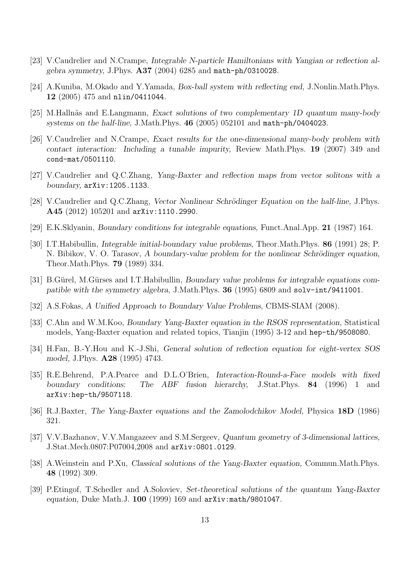- [23] V.Caudrelier and N.Crampe, Integrable N-particle Hamiltonians with Yangian or reflection algebra symmetry, J.Phys. A37 (2004) 6285 and math-ph/0310028.
- [24] A.Kuniba, M.Okado and Y.Yamada, Box-ball system with reflecting end, J.Nonlin.Math.Phys. 12 (2005) 475 and nlin/0411044.
- [25] M.Hallnäs and E.Langmann, Exact solutions of two complementary 1D quantum many-body systems on the half-line, J.Math.Phys. 46 (2005) 052101 and math-ph/0404023.
- [26] V.Caudrelier and N.Crampe, Exact results for the one-dimensional many-body problem with contact interaction: Including a tunable impurity, Review Math.Phys. 19 (2007) 349 and cond-mat/0501110.
- [27] V.Caudrelier and Q.C.Zhang, Yang-Baxter and reflection maps from vector solitons with a boundary, arXiv:1205.1133.
- [28] V.Caudrelier and Q.C.Zhang, Vector Nonlinear Schrödinger Equation on the half-line, J.Phys. A45 (2012) 105201 and arXiv:1110.2990.
- [29] E.K.Sklyanin, Boundary conditions for integrable equations, Funct.Anal.App. 21 (1987) 164.
- [30] I.T.Habibullin, Integrable initial-boundary value problems, Theor.Math.Phys. 86 (1991) 28; P. N. Bibikov, V. O. Tarasov, A boundary-value problem for the nonlinear Schrödinger equation, Theor.Math.Phys. 79 (1989) 334.
- [31] B.Gürel, M.Gürses and I.T.Habibullin, Boundary value problems for integrable equations compatible with the symmetry algebra, J.Math.Phys. 36 (1995) 6809 and solv-int/9411001.
- [32] A.S.Fokas, A Unified Approach to Boundary Value Problems, CBMS-SIAM (2008).
- [33] C.Ahn and W.M.Koo, Boundary Yang-Baxter equation in the RSOS representation, Statistical models, Yang-Baxter equation and related topics, Tianjin (1995) 3-12 and hep-th/9508080.
- [34] H.Fan, B.-Y.Hou and K.-J.Shi, General solution of reflection equation for eight-vertex SOS model, J.Phys. A28 (1995) 4743.
- [35] R.E.Behrend, P.A.Pearce and D.L.O'Brien, Interaction-Round-a-Face models with fixed boundary conditions: The ABF fusion hierarchy, J.Stat.Phys. 84 (1996) 1 and arXiv:hep-th/9507118.
- [36] R.J.Baxter, The Yang-Baxter equations and the Zamolodchikov Model, Physica 18D (1986) 321.
- [37] V.V.Bazhanov, V.V.Mangazeev and S.M.Sergeev, Quantum geometry of 3-dimensional lattices, J.Stat.Mech.0807:P07004,2008 and arXiv:0801.0129.
- [38] A.Weinstein and P.Xu, Classical solutions of the Yang-Baxter equation, Commun.Math.Phys. 48 (1992) 309.
- [39] P.Etingof, T.Schedler and A.Soloviev, Set-theoretical solutions of the quantum Yang-Baxter equation, Duke Math.J. 100 (1999) 169 and arXiv:math/9801047.